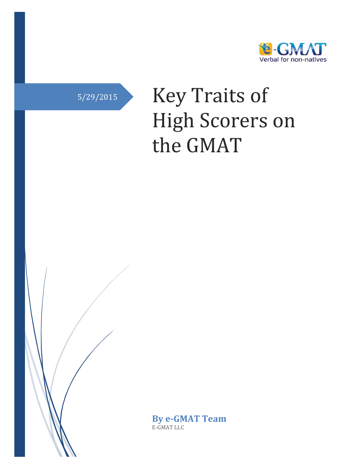

# 5/29/2015 Key Traits of High Scorers on the GMAT

**By e-GMAT Team** E-GMAT LLC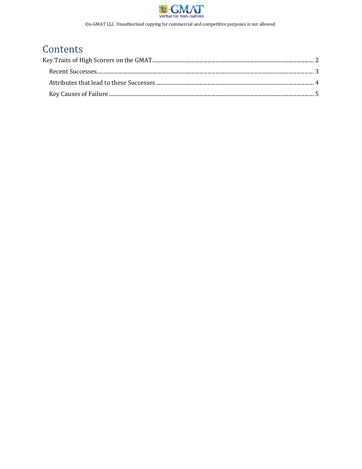

# Contents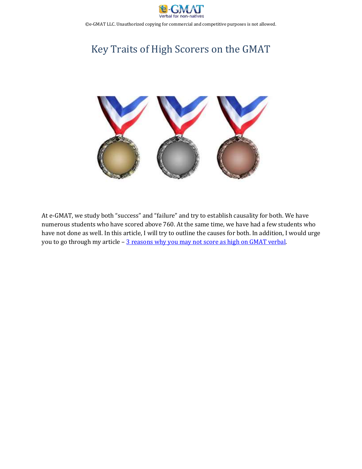

# <span id="page-2-0"></span>Key Traits of High Scorers on the GMAT



At e-GMAT, we study both "success" and "failure" and try to establish causality for both. We have numerous students who have scored above 760. At the same time, we have had a few students who have not done as well. In this article, I will try to outline the causes for both. In addition, I would urge you to go through my article - [3 reasons why you may not score as high on GMAT verbal.](https://e-gmat.com/blogs/wp-content/uploads/2015/05/3-Reasons-why-you-may-not-Score-as-high-on-GMAT-Verbal.pdf)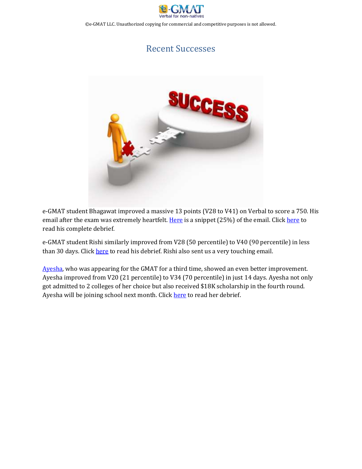

### Recent Successes

<span id="page-3-0"></span>

e-GMAT student Bhagawat improved a massive 13 points (V28 to V41) on Verbal to score a 750. His email after the exam was extremely heartfelt. [Here](http://e-gmat.com/blogs/wp-content/uploads/2013/08/bhagwat-1.png) is a snippet (25%) of the email. Click [here](http://gmatclub.com/forum/630-to-750-debrief-158572.html#p1260256) to read his complete debrief.

e-GMAT student Rishi similarly improved from V28 (50 percentile) to V40 (90 percentile) in less than 30 days. Click [here](http://gmatclub.com/forum/680-v28-to-740-v40-in-30-days-nailed-verbal-157924.html) to read his debrief. Rishi also sent us a very touching email.

[Ayesha,](http://gmatclub.com/forum/from-480-to-400-to-490-to-610-my-journey-157800.html) who was appearing for the GMAT for a third time, showed an even better improvement. Ayesha improved from V20 (21 percentile) to V34 (70 percentile) in just 14 days. Ayesha not only got admitted to 2 colleges of her choice but also received \$18K scholarship in the fourth round. Ayesha will be joining school next month. Click [here](http://gmatclub.com/forum/from-480-to-400-to-490-to-610-my-journey-157800.html) to read her debrief.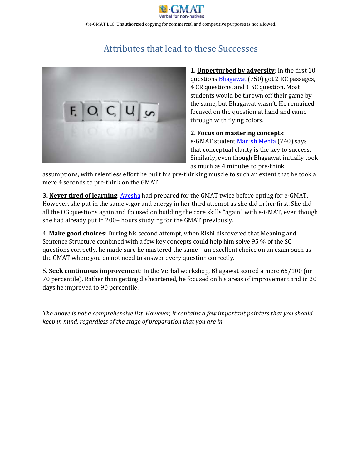

# Attributes that lead to these Successes

<span id="page-4-0"></span>

**1. Unperturbed by adversity**: In the first 10 questions **[Bhagawat](http://gmatclub.com/forum/630-to-750-debrief-158572.html#p1260256)** (750) got 2 RC passages, 4 CR questions, and 1 SC question. Most students would be thrown off their game by the same, but Bhagawat wasn't. He remained focused on the question at hand and came through with flying colors.

#### **2. Focus on mastering concepts**:

e-GMAT student [Manish Mehta](http://gmatclub.com/forum/600-to-740-all-about-timing-and-fundamentals-147029.html) (740) says that conceptual clarity is the key to success. Similarly, even though Bhagawat initially took as much as 4 minutes to pre-think

assumptions, with relentless effort he built his pre-thinking muscle to such an extent that he took a mere 4 seconds to pre-think on the GMAT.

**3. Never tired of learning**[: Ayesha](http://gmatclub.com/forum/from-480-to-400-to-490-to-610-my-journey-157800.html) had prepared for the GMAT twice before opting for e-GMAT. However, she put in the same vigor and energy in her third attempt as she did in her first. She did all the OG questions again and focused on building the core skills "again" with e-GMAT, even though she had already put in 200+ hours studying for the GMAT previously.

4. **Make good choices**: During his second attempt, when Rishi discovered that Meaning and Sentence Structure combined with a few key concepts could help him solve 95 % of the SC questions correctly, he made sure he mastered the same – an excellent choice on an exam such as the GMAT where you do not need to answer every question correctly.

5. **Seek continuous improvement**: In the Verbal workshop, Bhagawat scored a mere 65/100 (or 70 percentile). Rather than getting disheartened, he focused on his areas of improvement and in 20 days he improved to 90 percentile.

*The above is not a comprehensive list. However, it contains a few important pointers that you should keep in mind, regardless of the stage of preparation that you are in.*